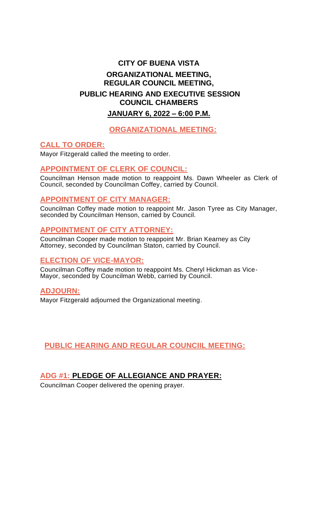### **CITY OF BUENA VISTA ORGANIZATIONAL MEETING, REGULAR COUNCIL MEETING, PUBLIC HEARING AND EXECUTIVE SESSION COUNCIL CHAMBERS JANUARY 6, 2022 – 6:00 P.M.**

# **ORGANIZATIONAL MEETING:**

### **CALL TO ORDER:**

Mayor Fitzgerald called the meeting to order.

#### **APPOINTMENT OF CLERK OF COUNCIL:**

Councilman Henson made motion to reappoint Ms. Dawn Wheeler as Clerk of Council, seconded by Councilman Coffey, carried by Council.

#### **APPOINTMENT OF CITY MANAGER:**

Councilman Coffey made motion to reappoint Mr. Jason Tyree as City Manager, seconded by Councilman Henson, carried by Council.

#### **APPOINTMENT OF CITY ATTORNEY:**

Councilman Cooper made motion to reappoint Mr. Brian Kearney as City Attorney, seconded by Councilman Staton, carried by Council.

#### **ELECTION OF VICE-MAYOR:**

Councilman Coffey made motion to reappoint Ms. Cheryl Hickman as Vice-Mayor, seconded by Councilman Webb, carried by Council.

#### **ADJOURN:**

Mayor Fitzgerald adjourned the Organizational meeting.

 **PUBLIC HEARING AND REGULAR COUNCIIL MEETING:**

#### **ADG #1: PLEDGE OF ALLEGIANCE AND PRAYER:**

Councilman Cooper delivered the opening prayer.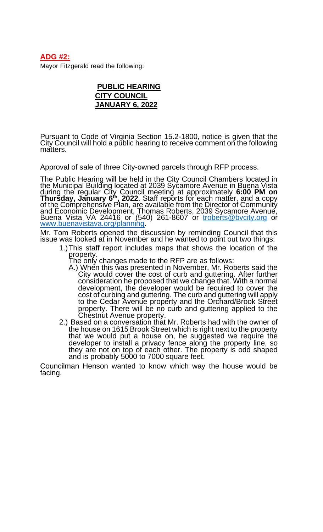### **ADG #2:**

Mayor Fitzgerald read the following:

### **PUBLIC HEARING CITY COUNCIL JANUARY 6, 2022**

Pursuant to Code of Virginia Section 15.2-1800, notice is given that the City Council will hold a public hearing to receive comment on the following matters.

Approval of sale of three City-owned parcels through RFP process.

The Public Hearing will be held in the City Council Chambers located in the Municipal Building located at 2039 Sycamore Avenue in Buena Vista during the regular City Council meeting at approximately **6:00 PM on Thursday, January 6th, 2022**. Staff reports for each matter, and a copy of the Comprehensive Plan, are available from the Director of Community and Economic Development, Thomas Roberts, 2039 Sycamore Avenue, Buena Vista VA 24416 or (540) 261-8607 or [troberts@bvcity.org](mailto:troberts@bvcity.org) or [www.buenavistava.org/planning.](http://www.buenavistava.org/planning)

Mr. Tom Roberts opened the discussion by reminding Council that this issue was looked at in November and he wanted to point out two things:

- 1.)This staff report includes maps that shows the location of the property.
	- The only changes made to the RFP are as follows:
	- A.) When this was presented in November, Mr. Roberts said the City would cover the cost of curb and guttering. After further consideration he proposed that we change that. With a normal development, the developer would be required to cover the cost of curbing and guttering. The curb and guttering will apply to the Cedar Avenue property and the Orchard/Brook Street property. There will be no curb and guttering applied to the Chestnut Avenue property.
- 2.) Based on a conversation that Mr. Roberts had with the owner of the house on 1615 Brook Street which is right next to the property that we would put a house on, he suggested we require the developer to install a privacy fence along the property line, so they are not on top of each other. The property is odd shaped and is probably 5000 to 7000 square feet.

Councilman Henson wanted to know which way the house would be facing.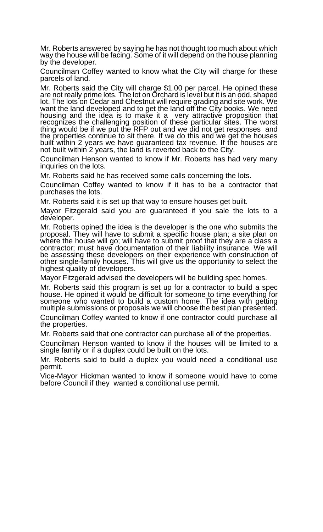Mr. Roberts answered by saying he has not thought too much about which way the house will be facing. Some of it will depend on the house planning by the developer.

Councilman Coffey wanted to know what the City will charge for these parcels of land.

Mr. Roberts said the City will charge \$1.00 per parcel. He opined these are not really prime lots. The lot on Orchard is level but it is an odd, shaped lot. The lots on Cedar and Chestnut will require grading and site work. We want the land developed and to get the land off the City books. We need housing and the idea is to make it a very attractive proposition that recognizes the challenging position of these particular sites. The worst thing would be if we put the RFP out and we did not get responses and the properties continue to sit there. If we do this and we get the houses built within 2 years we have guaranteed tax revenue. If the houses are not built within 2 years, the land is reverted back to the City.

Councilman Henson wanted to know if Mr. Roberts has had very many inquiries on the lots.

Mr. Roberts said he has received some calls concerning the lots.

Councilman Coffey wanted to know if it has to be a contractor that purchases the lots.

Mr. Roberts said it is set up that way to ensure houses get built.

Mayor Fitzgerald said you are guaranteed if you sale the lots to a developer.

Mr. Roberts opined the idea is the developer is the one who submits the proposal. They will have to submit a specific house plan; a site plan on where the house will go; will have to submit proof that they are a class a contractor; must have documentation of their liability insurance. We will be assessing these developers on their experience with construction of other single-family houses. This will give us the opportunity to select the highest quality of developers.

Mayor Fitzgerald advised the developers will be building spec homes.

Mr. Roberts said this program is set up for a contractor to build a spec house. He opined it would be difficult for someone to time everything for someone who wanted to build a custom home. The idea with getting multiple submissions or proposals we will choose the best plan presented.

Councilman Coffey wanted to know if one contractor could purchase all the properties.

Mr. Roberts said that one contractor can purchase all of the properties.

Councilman Henson wanted to know if the houses will be limited to a single family or if a duplex could be built on the lots.

Mr. Roberts said to build a duplex you would need a conditional use permit.

Vice-Mayor Hickman wanted to know if someone would have to come before Council if they wanted a conditional use permit.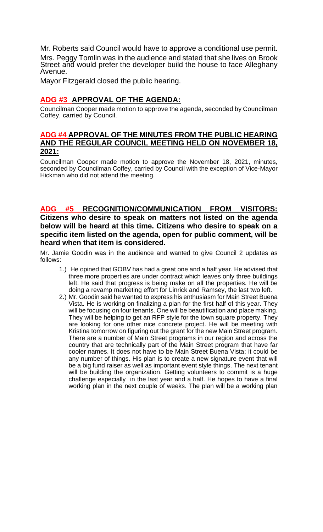Mr. Roberts said Council would have to approve a conditional use permit. Mrs. Peggy Tomlin was in the audience and stated that she lives on Brook Street and would prefer the developer build the house to face Alleghany Avenue.

Mayor Fitzgerald closed the public hearing.

### **ADG #3 APPROVAL OF THE AGENDA:**

Councilman Cooper made motion to approve the agenda, seconded by Councilman Coffey, carried by Council.

#### **ADG #4 APPROVAL OF THE MINUTES FROM THE PUBLIC HEARING AND THE REGULAR COUNCIL MEETING HELD ON NOVEMBER 18, 2021:**

Councilman Cooper made motion to approve the November 18, 2021, minutes, seconded by Councilman Coffey, carried by Council with the exception of Vice-Mayor Hickman who did not attend the meeting.

## **ADG #5 RECOGNITION/COMMUNICATION FROM VISITORS:**

**Citizens who desire to speak on matters not listed on the agenda below will be heard at this time. Citizens who desire to speak on a specific item listed on the agenda, open for public comment, will be heard when that item is considered.**

Mr. Jamie Goodin was in the audience and wanted to give Council 2 updates as follows:

- 1.) He opined that GOBV has had a great one and a half year. He advised that three more properties are under contract which leaves only three buildings left. He said that progress is being make on all the properties. He will be doing a revamp marketing effort for Linrick and Ramsey, the last two left.
- 2.) Mr. Goodin said he wanted to express his enthusiasm for Main Street Buena Vista. He is working on finalizing a plan for the first half of this year. They will be focusing on four tenants. One will be beautification and place making. They will be helping to get an RFP style for the town square property. They are looking for one other nice concrete project. He will be meeting with Kristina tomorrow on figuring out the grant for the new Main Street program. There are a number of Main Street programs in our region and across the country that are technically part of the Main Street program that have far cooler names. It does not have to be Main Street Buena Vista; it could be any number of things. His plan is to create a new signature event that will be a big fund raiser as well as important event style things. The next tenant will be building the organization. Getting volunteers to commit is a huge challenge especially in the last year and a half. He hopes to have a final working plan in the next couple of weeks. The plan will be a working plan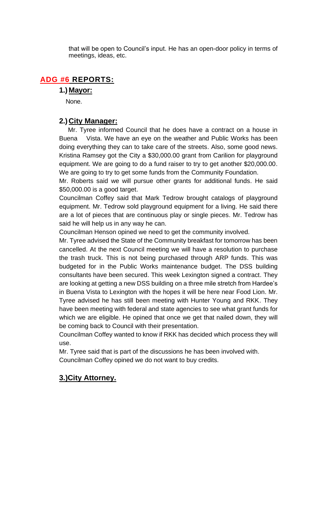that will be open to Council's input. He has an open-door policy in terms of meetings, ideas, etc.

### **ADG #6 REPORTS:**

#### **1.) Mayor:**

None.

#### **2.) City Manager:**

 Mr. Tyree informed Council that he does have a contract on a house in Buena Vista. We have an eye on the weather and Public Works has been doing everything they can to take care of the streets. Also, some good news. Kristina Ramsey got the City a \$30,000.00 grant from Carilion for playground equipment. We are going to do a fund raiser to try to get another \$20,000.00. We are going to try to get some funds from the Community Foundation.

Mr. Roberts said we will pursue other grants for additional funds. He said \$50,000.00 is a good target.

Councilman Coffey said that Mark Tedrow brought catalogs of playground equipment. Mr. Tedrow sold playground equipment for a living. He said there are a lot of pieces that are continuous play or single pieces. Mr. Tedrow has said he will help us in any way he can.

Councilman Henson opined we need to get the community involved.

Mr. Tyree advised the State of the Community breakfast for tomorrow has been cancelled. At the next Council meeting we will have a resolution to purchase the trash truck. This is not being purchased through ARP funds. This was budgeted for in the Public Works maintenance budget. The DSS building consultants have been secured. This week Lexington signed a contract. They are looking at getting a new DSS building on a three mile stretch from Hardee's in Buena Vista to Lexington with the hopes it will be here near Food Lion. Mr. Tyree advised he has still been meeting with Hunter Young and RKK. They have been meeting with federal and state agencies to see what grant funds for which we are eligible. He opined that once we get that nailed down, they will be coming back to Council with their presentation.

Councilman Coffey wanted to know if RKK has decided which process they will use.

Mr. Tyree said that is part of the discussions he has been involved with. Councilman Coffey opined we do not want to buy credits.

### **3.)City Attorney.**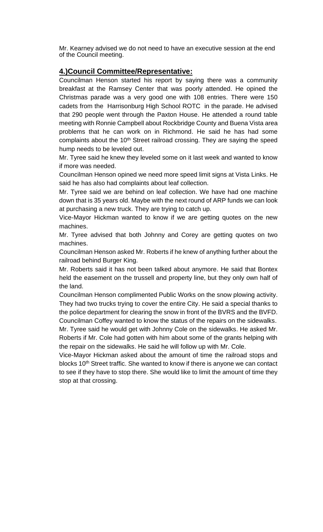Mr. Kearney advised we do not need to have an executive session at the end of the Council meeting.

#### **4.)Council Committee/Representative:**

Councilman Henson started his report by saying there was a community breakfast at the Ramsey Center that was poorly attended. He opined the Christmas parade was a very good one with 108 entries. There were 150 cadets from the Harrisonburg High School ROTC in the parade. He advised that 290 people went through the Paxton House. He attended a round table meeting with Ronnie Campbell about Rockbridge County and Buena Vista area problems that he can work on in Richmond. He said he has had some complaints about the 10<sup>th</sup> Street railroad crossing. They are saying the speed hump needs to be leveled out.

Mr. Tyree said he knew they leveled some on it last week and wanted to know if more was needed.

Councilman Henson opined we need more speed limit signs at Vista Links. He said he has also had complaints about leaf collection.

Mr. Tyree said we are behind on leaf collection. We have had one machine down that is 35 years old. Maybe with the next round of ARP funds we can look at purchasing a new truck. They are trying to catch up.

Vice-Mayor Hickman wanted to know if we are getting quotes on the new machines.

Mr. Tyree advised that both Johnny and Corey are getting quotes on two machines.

Councilman Henson asked Mr. Roberts if he knew of anything further about the railroad behind Burger King.

Mr. Roberts said it has not been talked about anymore. He said that Bontex held the easement on the trussell and property line, but they only own half of the land.

Councilman Henson complimented Public Works on the snow plowing activity. They had two trucks trying to cover the entire City. He said a special thanks to the police department for clearing the snow in front of the BVRS and the BVFD.

Councilman Coffey wanted to know the status of the repairs on the sidewalks. Mr. Tyree said he would get with Johnny Cole on the sidewalks. He asked Mr. Roberts if Mr. Cole had gotten with him about some of the grants helping with the repair on the sidewalks. He said he will follow up with Mr. Cole.

Vice-Mayor Hickman asked about the amount of time the railroad stops and blocks 10<sup>th</sup> Street traffic. She wanted to know if there is anyone we can contact to see if they have to stop there. She would like to limit the amount of time they stop at that crossing.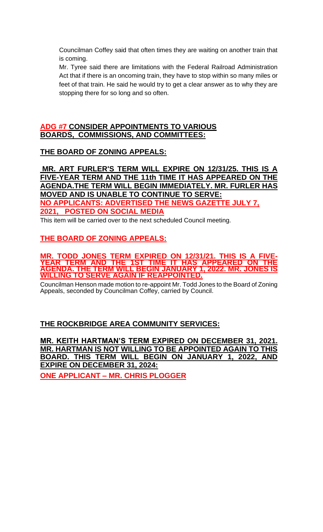Councilman Coffey said that often times they are waiting on another train that is coming.

Mr. Tyree said there are limitations with the Federal Railroad Administration Act that if there is an oncoming train, they have to stop within so many miles or feet of that train. He said he would try to get a clear answer as to why they are stopping there for so long and so often.

### **ADG #7 CONSIDER APPOINTMENTS TO VARIOUS BOARDS, COMMISSIONS, AND COMMITTEES:**

### **THE BOARD OF ZONING APPEALS:**

**MR. ART FURLER'S TERM WILL EXPIRE ON 12/31/25. THIS IS A FIVE-YEAR TERM AND THE 11th TIME IT HAS APPEARED ON THE AGENDA.THE TERM WILL BEGIN [IMMEDIATELY. MR.](http://immediately.mr/) FURLER HAS MOVED AND IS UNABLE TO CONTINUE TO SERVE: NO APPLICANTS: ADVERTISED THE NEWS GAZETTE JULY 7, 2021, POSTED ON SOCIAL MEDIA**

This item will be carried over to the next scheduled Council meeting.

### **THE BOARD OF ZONING APPEALS:**

#### **MR. TODD JONES TERM EXPIRED ON 12/31/21. THIS IS A FIVE-YEAR TERM AND THE 1ST TIME IT HAS APPEARED ON THE AGENDA. THE TERM WILL BEGIN JANUARY 1, 2022. MR. JONES IS WILLING TO SERVE AGAIN IF REAPPOINTED.**

Councilman Henson made motion to re-appoint Mr. Todd Jones to the Board of Zoning Appeals, seconded by Councilman Coffey, carried by Council.

### **THE ROCKBRIDGE AREA COMMUNITY SERVICES:**

**MR. KEITH HARTMAN'S TERM EXPIRED ON DECEMBER 31, 2021. MR. HARTMAN IS NOT WILLING TO BE APPOINTED AGAIN TO THIS BOARD. THIS TERM WILL BEGIN ON JANUARY 1, 2022, AND EXPIRE ON DECEMBER 31, 2024: ONE APPLICANT – MR. CHRIS PLOGGER**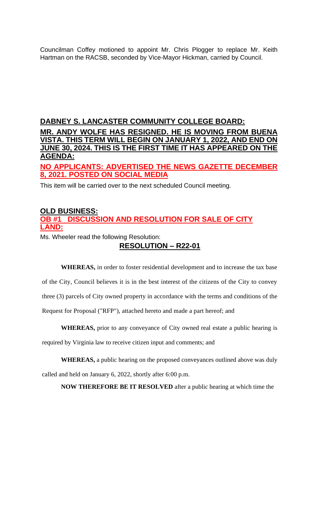Councilman Coffey motioned to appoint Mr. Chris Plogger to replace Mr. Keith Hartman on the RACSB, seconded by Vice-Mayor Hickman, carried by Council.

### **DABNEY S. LANCASTER COMMUNITY COLLEGE BOARD: MR. ANDY WOLFE HAS RESIGNED. HE IS MOVING FROM BUENA VISTA. THIS TERM WILL BEGIN ON JANUARY 1, 2022, AND END ON JUNE 30, 2024. THIS IS THE FIRST TIME IT HAS APPEARED ON THE AGENDA: NO APPLICANTS: ADVERTISED THE NEWS GAZETTE DECEMBER 8, 2021. POSTED ON SOCIAL MEDIA**

This item will be carried over to the next scheduled Council meeting.

### **OLD BUSINESS: OB #1 DISCUSSION AND RESOLUTION FOR SALE OF CITY LAND:**

Ms. Wheeler read the following Resolution:

### **RESOLUTION – R22-01**

**WHEREAS,** in order to foster residential development and to increase the tax base of the City, Council believes it is in the best interest of the citizens of the City to convey three (3) parcels of City owned property in accordance with the terms and conditions of the Request for Proposal ("RFP"), attached hereto and made a part hereof; and

**WHEREAS,** prior to any conveyance of City owned real estate a public hearing is

required by Virginia law to receive citizen input and comments; and

**WHEREAS,** a public hearing on the proposed conveyances outlined above was duly

called and held on January 6, 2022, shortly after 6:00 p.m.

**NOW THEREFORE BE IT RESOLVED** after a public hearing at which time the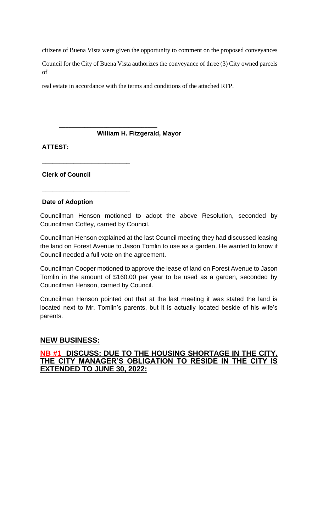citizens of Buena Vista were given the opportunity to comment on the proposed conveyances

Council for the City of Buena Vista authorizes the conveyance of three (3) City owned parcels of

real estate in accordance with the terms and conditions of the attached RFP.

#### **William H. Fitzgerald, Mayor**

**\_\_\_\_\_\_\_\_\_\_\_\_\_\_\_\_\_\_\_\_\_\_\_\_\_\_\_\_\_\_\_**

**ATTEST:**

**Clerk of Council**

**\_\_\_\_\_\_\_\_\_\_\_\_\_\_\_\_\_\_\_\_\_\_\_\_\_**

**\_\_\_\_\_\_\_\_\_\_\_\_\_\_\_\_\_\_\_\_\_\_\_\_\_**

#### **Date of Adoption**

Councilman Henson motioned to adopt the above Resolution, seconded by Councilman Coffey, carried by Council.

Councilman Henson explained at the last Council meeting they had discussed leasing the land on Forest Avenue to Jason Tomlin to use as a garden. He wanted to know if Council needed a full vote on the agreement.

Councilman Cooper motioned to approve the lease of land on Forest Avenue to Jason Tomlin in the amount of \$160.00 per year to be used as a garden, seconded by Councilman Henson, carried by Council.

Councilman Henson pointed out that at the last meeting it was stated the land is located next to Mr. Tomlin's parents, but it is actually located beside of his wife's parents.

#### **NEW BUSINESS:**

#### **NB #1 DISCUSS: DUE TO THE HOUSING SHORTAGE IN THE CITY, THE CITY MANAGER'S OBLIGATION TO RESIDE IN THE CITY IS EXTENDED TO JUNE 30, 2022:**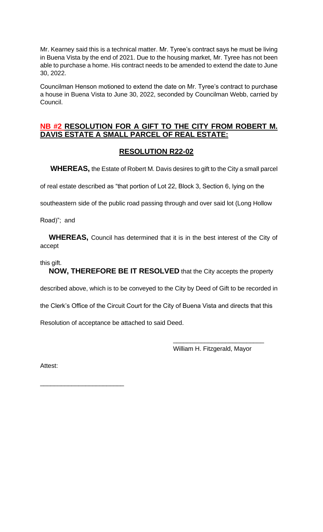Mr. Kearney said this is a technical matter. Mr. Tyree's contract says he must be living in Buena Vista by the end of 2021. Due to the housing market, Mr. Tyree has not been able to purchase a home. His contract needs to be amended to extend the date to June 30, 2022.

Councilman Henson motioned to extend the date on Mr. Tyree's contract to purchase a house in Buena Vista to June 30, 2022, seconded by Councilman Webb, carried by Council.

#### **NB #2 RESOLUTION FOR A GIFT TO THE CITY FROM ROBERT M. DAVIS ESTATE A SMALL PARCEL OF REAL ESTATE:**

### **RESOLUTION R22-02**

 **WHEREAS,** the Estate of Robert M. Davis desires to gift to the City a small parcel

of real estate described as "that portion of Lot 22, Block 3, Section 6, lying on the

southeastern side of the public road passing through and over said lot (Long Hollow

Road)"; and

 **WHEREAS,** Council has determined that it is in the best interest of the City of accept

this gift.

**NOW, THEREFORE BE IT RESOLVED** that the City accepts the property

described above, which is to be conveyed to the City by Deed of Gift to be recorded in

the Clerk's Office of the Circuit Court for the City of Buena Vista and directs that this

Resolution of acceptance be attached to said Deed.

William H. Fitzgerald, Mayor

\_\_\_\_\_\_\_\_\_\_\_\_\_\_\_\_\_\_\_\_\_\_\_\_\_\_

Attest:

\_\_\_\_\_\_\_\_\_\_\_\_\_\_\_\_\_\_\_\_\_\_\_\_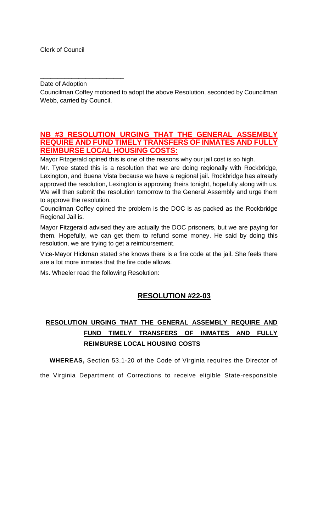Date of Adoption

\_\_\_\_\_\_\_\_\_\_\_\_\_\_\_\_\_\_\_\_\_\_\_\_

Councilman Coffey motioned to adopt the above Resolution, seconded by Councilman Webb, carried by Council.

#### **NB #3 RESOLUTION URGING THAT THE GENERAL ASSEMBLY REQUIRE AND FUND TIMELY TRANSFERS OF INMATES AND FULLY REIMBURSE LOCAL HOUSING COSTS:**

Mayor Fitzgerald opined this is one of the reasons why our jail cost is so high.

Mr. Tyree stated this is a resolution that we are doing regionally with Rockbridge, Lexington, and Buena Vista because we have a regional jail. Rockbridge has already approved the resolution, Lexington is approving theirs tonight, hopefully along with us. We will then submit the resolution tomorrow to the General Assembly and urge them to approve the resolution.

Councilman Coffey opined the problem is the DOC is as packed as the Rockbridge Regional Jail is.

Mayor Fitzgerald advised they are actually the DOC prisoners, but we are paying for them. Hopefully, we can get them to refund some money. He said by doing this resolution, we are trying to get a reimbursement.

Vice-Mayor Hickman stated she knows there is a fire code at the jail. She feels there are a lot more inmates that the fire code allows.

Ms. Wheeler read the following Resolution:

### **RESOLUTION #22-03**

### **RESOLUTION URGING THAT THE GENERAL ASSEMBLY REQUIRE AND FUND TIMELY TRANSFERS OF INMATES AND FULLY REIMBURSE LOCAL HOUSING COSTS**

**WHEREAS,** Section 53.1-20 of the Code of Virginia requires the Director of

the Virginia Department of Corrections to receive eligible State-responsible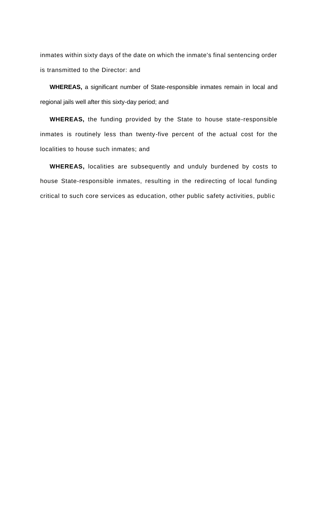inmates within sixty days of the date on which the inmate's final sentencing order is transmitted to the Director: and

**WHEREAS,** a significant number of State-responsible inmates remain in local and regional jails well after this sixty-day period; and

**WHEREAS,** the funding provided by the State to house state-responsible inmates is routinely less than twenty-five percent of the actual cost for the localities to house such inmates; and

**WHEREAS,** localities are subsequently and unduly burdened by costs to house State-responsible inmates, resulting in the redirecting of local funding critical to such core services as education, other public safety activities, publi c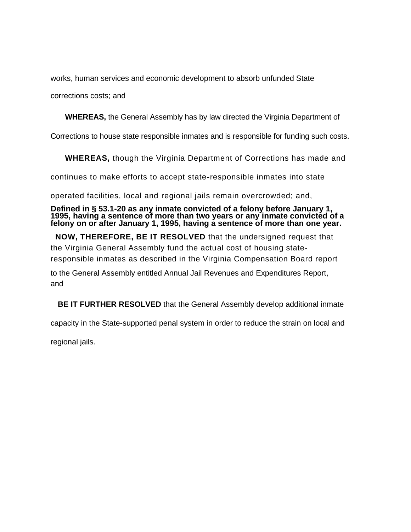works, human services and economic development to absorb unfunded State

corrections costs; and

**WHEREAS,** the General Assembly has by law directed the Virginia Department of

Corrections to house state responsible inmates and is responsible for funding such costs.

**WHEREAS,** though the Virginia Department of Corrections has made and

continues to make efforts to accept state-responsible inmates into state

operated facilities, local and regional jails remain overcrowded; and,

**Defined in § 53.1-20 as any inmate convicted of a felony before January 1, 1995, having a sentence of more than two years or any inmate convicted of a felony on or after January 1, 1995, having a sentence of more than one year.**

**NOW, THEREFORE, BE IT RESOLVED** that the undersigned request that the Virginia General Assembly fund the actual cost of housing stateresponsible inmates as described in the Virginia Compensation Board report

to the General Assembly entitled Annual Jail Revenues and Expenditures Report, and

**BE IT FURTHER RESOLVED** that the General Assembly develop additional inmate

capacity in the State-supported penal system in order to reduce the strain on local and

regional jails.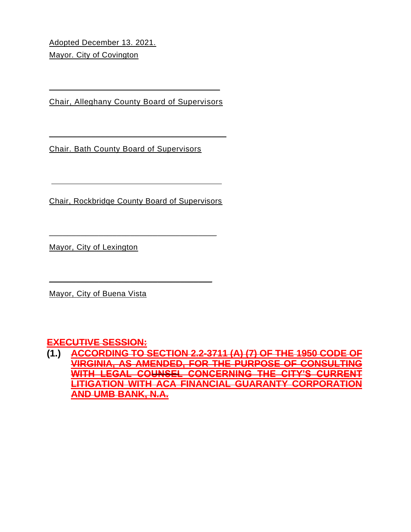Adopted December 13. 2021. Mayor. City of Covington

Chair, Alleghany County Board of Supervisors

\_\_\_\_\_\_\_\_\_\_\_\_\_\_\_\_\_\_\_\_\_\_\_\_\_\_\_\_\_\_\_\_\_\_\_\_\_\_

\_\_\_\_\_\_\_\_\_\_\_\_\_\_\_\_\_\_\_\_\_\_\_\_\_\_\_\_\_\_\_\_\_\_\_\_\_\_

Chair. Bath County Board of Supervisors

Chair, Rockbridqe County Board of Supervisors

\_\_\_\_\_\_\_\_\_\_\_\_\_\_\_\_\_\_\_\_\_\_\_\_\_\_\_\_\_\_\_\_\_\_\_\_\_

\_\_\_\_\_\_\_\_\_\_\_\_\_\_\_\_\_\_\_\_\_\_\_\_\_\_\_\_\_\_\_\_\_\_\_\_

Mayor, City of Lexington

Mayor, City of Buena Vista

### **EXECUTIVE SESSION:**

**(1.) ACCORDING TO SECTION 2.2-3711 (A) (7) OF THE 1950 CODE OF VIRGINIA, AS AMENDED, FOR THE PURPOSE OF CONSULTING WITH LEGAL COUNSEL CONCERNING THE CITY'S CURRENT LITIGATION WITH ACA FINANCIAL GUARANTY CORPORATION AND UMB BANK, N.A.**